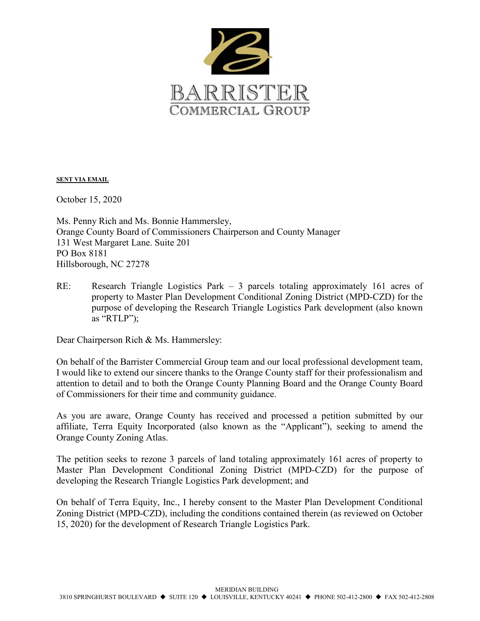

SENT VIA EMAIL

October 15, 2020

Ms. Penny Rich and Ms. Bonnie Hammersley, Orange County Board of Commissioners Chairperson and County Manager 131 West Margaret Lane. Suite 201 PO Box 8181 Hillsborough, NC 27278

RE: Research Triangle Logistics Park – 3 parcels totaling approximately 161 acres of property to Master Plan Development Conditional Zoning District (MPD-CZD) for the purpose of developing the Research Triangle Logistics Park development (also known as "RTLP");

Dear Chairperson Rich & Ms. Hammersley:

On behalf of the Barrister Commercial Group team and our local professional development team, I would like to extend our sincere thanks to the Orange County staff for their professionalism and attention to detail and to both the Orange County Planning Board and the Orange County Board of Commissioners for their time and community guidance.

As you are aware, Orange County has received and processed a petition submitted by our affiliate, Terra Equity Incorporated (also known as the "Applicant"), seeking to amend the Orange County Zoning Atlas.

The petition seeks to rezone 3 parcels of land totaling approximately 161 acres of property to Master Plan Development Conditional Zoning District (MPD-CZD) for the purpose of developing the Research Triangle Logistics Park development; and

On behalf of Terra Equity, Inc., I hereby consent to the Master Plan Development Conditional Zoning District (MPD-CZD), including the conditions contained therein (as reviewed on October 15, 2020) for the development of Research Triangle Logistics Park.